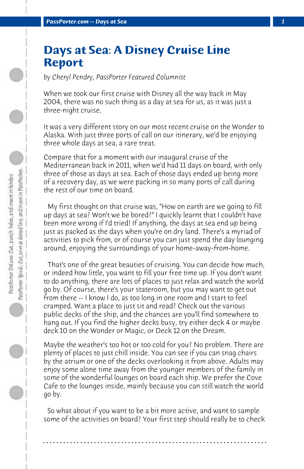## **Days at Sea: A Disney Cruise Line Report**

*by Cheryl Pendry, PassPorter Featured Columnist*

When we took our first cruise with Disney all the way back in May 2004, there was no such thing as a day at sea for us, as it was just a three-night cruise.

It was a very different story on our most recent cruise on the Wonder to Alaska. With just three ports of call on our itinerary, we'd be enjoying three whole days at sea, a rare treat.

Compare that for a moment with our inaugural cruise of the Mediterranean back in 2011, when we'd had 11 days on board, with only three of those as days at sea. Each of those days ended up being more of a recovery day, as we were packing in so many ports of call during the rest of our time on board.

 My first thought on that cruise was, "How on earth are we going to fill up days at sea? Won't we be bored?" I quickly learnt that I couldn't have been more wrong if I'd tried! If anything, the days at sea end up being just as packed as the days when you're on dry land. There's a myriad of activities to pick from, or of course you can just spend the day lounging around, enjoying the surroundings of your home-away-from-home.

 That's one of the great beauties of cruising. You can decide how much, or indeed how little, you want to fill your free time up. If you don't want to do anything, there are lots of places to just relax and watch the world go by. Of course, there's your stateroom, but you may want to get out from there -- I know I do, as too long in one room and I start to feel cramped. Want a place to just sit and read? Check out the various public decks of the ship, and the chances are you'll find somewhere to hang out. If you find the higher decks busy, try either deck 4 or maybe deck 10 on the Wonder or Magic, or Deck 12 on the Dream.

Maybe the weather's too hot or too cold for you? No problem. There are plenty of places to just chill inside. You can see if you can snag chairs by the atrium or one of the decks overlooking it from above. Adults may enjoy some alone time away from the younger members of the family in some of the wonderful lounges on board each ship. We prefer the Cove Cafe to the lounges inside, mainly because you can still watch the world go by.

 So what about if you want to be a bit more active, and want to sample some of the activities on board? Your first step should really be to check

**. . . . . . . . . . . . . . . . . . . . . . . . . . . . . . . . . . . . . . . . . . . . . . . . . . . . . . . . . . . . . . . . . .**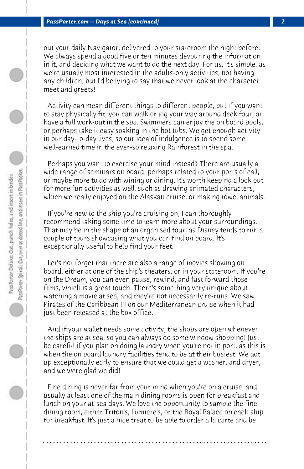out your daily Navigator, delivered to your stateroom the night before. We always spend a good five or ten minutes devouring the information in it, and deciding what we want to do the next day. For us, it's simple, as we're usually most interested in the adults-only activities, not having any children, but I'd be lying to say that we never look at the character meet and greets!

 Activity can mean different things to different people, but if you want to stay physically fit, you can walk or jog your way around deck four, or have a full work-out in the spa. Swimmers can enjoy the on board pools, or perhaps take it easy soaking in the hot tubs. We get enough activity in our day-to-day lives, so our idea of indulgence is to spend some well-earned time in the ever-so relaxing Rainforest in the spa.

 Perhaps you want to exercise your mind instead? There are usually a wide range of seminars on board, perhaps related to your ports of call, or maybe more to do with wining or dining. It's worth keeping a look out for more fun activities as well, such as drawing animated characters, which we really enjoyed on the Alaskan cruise, or making towel animals.

 If you're new to the ship you're cruising on, I can thoroughly recommend taking some time to learn more about your surroundings. That may be in the shape of an organised tour, as Disney tends to run a couple of tours showcasing what you can find on board. It's exceptionally useful to help find your feet.

 Let's not forget that there are also a range of movies showing on board, either at one of the ship's theaters, or in your stateroom. If you're on the Dream, you can even pause, rewind, and fast forward those films, which is a great touch. There's something very unique about watching a movie at sea, and they're not necessarily re-runs. We saw Pirates of the Caribbean III on our Mediterranean cruise when it had just been released at the box office.

 And if your wallet needs some activity, the shops are open whenever the ships are at sea, so you can always do some window shopping! Just be careful if you plan on doing laundry when you're not in port, as this is when the on board laundry facilities tend to be at their busiest. We got up exceptionally early to ensure that we could get a washer, and dryer, and we were glad we did!

 Fine dining is never far from your mind when you're on a cruise, and usually at least one of the main dining rooms is open for breakfast and lunch on your at-sea days. We love the opportunity to sample the fine dining room, either Triton's, Lumiere's, or the Royal Palace on each ship for breakfast. It's just a nice treat to be able to order a la carte and be

**. . . . . . . . . . . . . . . . . . . . . . . . . . . . . . . . . . . . . . . . . . . . . . . . . . . . . . . . . . . . . . . . . .**